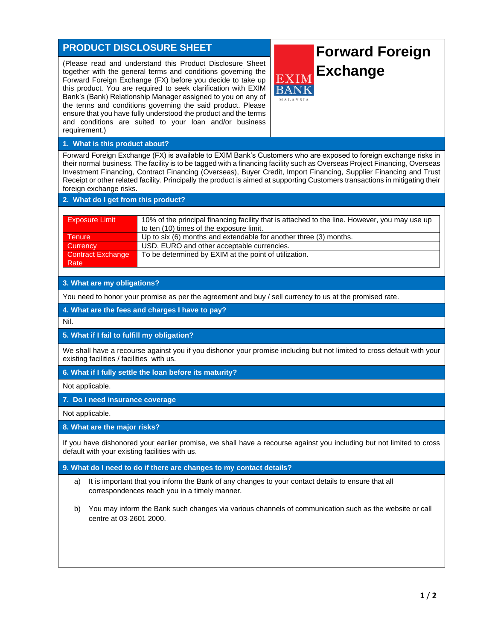# **PRODUCT DISCLOSURE SHEET**

(Please read and understand this Product Disclosure Sheet together with the general terms and conditions governing the Forward Foreign Exchange (FX) before you decide to take up this product. You are required to seek clarification with EXIM Bank's (Bank) Relationship Manager assigned to you on any of the terms and conditions governing the said product. Please ensure that you have fully understood the product and the terms and conditions are suited to your loan and/or business requirement.)

# **Forward Foreign Exchange**

# **1. What is this product about?**

Forward Foreign Exchange (FX) is available to EXIM Bank's Customers who are exposed to foreign exchange risks in their normal business. The facility is to be tagged with a financing facility such as Overseas Project Financing, Overseas Investment Financing, Contract Financing (Overseas), Buyer Credit, Import Financing, Supplier Financing and Trust Receipt or other related facility. Principally the product is aimed at supporting Customers transactions in mitigating their foreign exchange risks.

## **2. What do I get from this product?**

| <b>Exposure Limit</b> | 10% of the principal financing facility that is attached to the line. However, you may use up<br>to ten (10) times of the exposure limit. |
|-----------------------|-------------------------------------------------------------------------------------------------------------------------------------------|
| Tenure                | Up to six (6) months and extendable for another three (3) months.                                                                         |
| Currency              | USD, EURO and other acceptable currencies.                                                                                                |
| Contract Exchange     | To be determined by EXIM at the point of utilization.                                                                                     |
| Rate                  |                                                                                                                                           |

### **3. What are my obligations?**

You need to honor your promise as per the agreement and buy / sell currency to us at the promised rate.

**4. What are the fees and charges I have to pay?**

Nil.

#### **5. What if I fail to fulfill my obligation?**

We shall have a recourse against you if you dishonor your promise including but not limited to cross default with your existing facilities / facilities with us.

#### **6. What if I fully settle the loan before its maturity?**

Not applicable.

# **7. Do I need insurance coverage**

Not applicable.

#### **8. What are the major risks?**

If you have dishonored your earlier promise, we shall have a recourse against you including but not limited to cross default with your existing facilities with us.

#### **9. What do I need to do if there are changes to my contact details?**

- a) It is important that you inform the Bank of any changes to your contact details to ensure that all correspondences reach you in a timely manner.
- b) You may inform the Bank such changes via various channels of communication such as the website or call centre at 03-2601 2000.